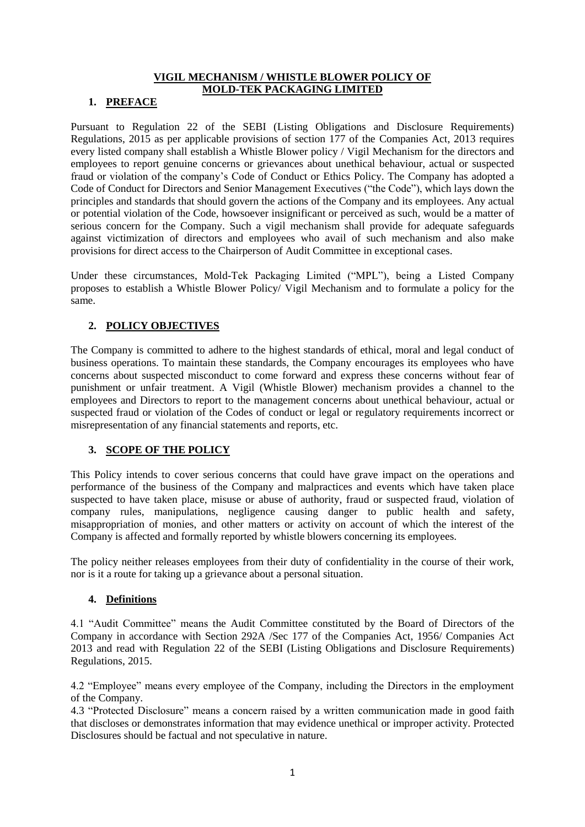# **VIGIL MECHANISM / WHISTLE BLOWER POLICY OF MOLD-TEK PACKAGING LIMITED**

# **1. PREFACE**

Pursuant to Regulation 22 of the SEBI (Listing Obligations and Disclosure Requirements) Regulations, 2015 as per applicable provisions of section 177 of the Companies Act, 2013 requires every listed company shall establish a Whistle Blower policy / Vigil Mechanism for the directors and employees to report genuine concerns or grievances about unethical behaviour, actual or suspected fraud or violation of the company's Code of Conduct or Ethics Policy. The Company has adopted a Code of Conduct for Directors and Senior Management Executives ("the Code"), which lays down the principles and standards that should govern the actions of the Company and its employees. Any actual or potential violation of the Code, howsoever insignificant or perceived as such, would be a matter of serious concern for the Company. Such a vigil mechanism shall provide for adequate safeguards against victimization of directors and employees who avail of such mechanism and also make provisions for direct access to the Chairperson of Audit Committee in exceptional cases.

Under these circumstances, Mold-Tek Packaging Limited ("MPL"), being a Listed Company proposes to establish a Whistle Blower Policy/ Vigil Mechanism and to formulate a policy for the same.

# **2. POLICY OBJECTIVES**

The Company is committed to adhere to the highest standards of ethical, moral and legal conduct of business operations. To maintain these standards, the Company encourages its employees who have concerns about suspected misconduct to come forward and express these concerns without fear of punishment or unfair treatment. A Vigil (Whistle Blower) mechanism provides a channel to the employees and Directors to report to the management concerns about unethical behaviour, actual or suspected fraud or violation of the Codes of conduct or legal or regulatory requirements incorrect or misrepresentation of any financial statements and reports, etc.

## **3. SCOPE OF THE POLICY**

This Policy intends to cover serious concerns that could have grave impact on the operations and performance of the business of the Company and malpractices and events which have taken place suspected to have taken place, misuse or abuse of authority, fraud or suspected fraud, violation of company rules, manipulations, negligence causing danger to public health and safety, misappropriation of monies, and other matters or activity on account of which the interest of the Company is affected and formally reported by whistle blowers concerning its employees.

The policy neither releases employees from their duty of confidentiality in the course of their work, nor is it a route for taking up a grievance about a personal situation.

## **4. Definitions**

4.1 "Audit Committee" means the Audit Committee constituted by the Board of Directors of the Company in accordance with Section 292A /Sec 177 of the Companies Act, 1956/ Companies Act 2013 and read with Regulation 22 of the SEBI (Listing Obligations and Disclosure Requirements) Regulations, 2015.

4.2 "Employee" means every employee of the Company, including the Directors in the employment of the Company.

4.3 "Protected Disclosure" means a concern raised by a written communication made in good faith that discloses or demonstrates information that may evidence unethical or improper activity. Protected Disclosures should be factual and not speculative in nature.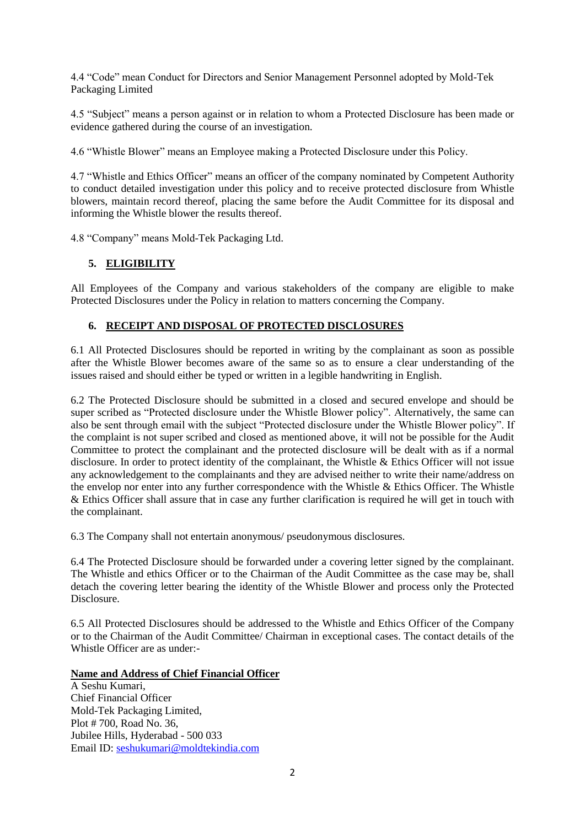4.4 "Code" mean Conduct for Directors and Senior Management Personnel adopted by Mold-Tek Packaging Limited

4.5 "Subject" means a person against or in relation to whom a Protected Disclosure has been made or evidence gathered during the course of an investigation.

4.6 "Whistle Blower" means an Employee making a Protected Disclosure under this Policy.

4.7 "Whistle and Ethics Officer" means an officer of the company nominated by Competent Authority to conduct detailed investigation under this policy and to receive protected disclosure from Whistle blowers, maintain record thereof, placing the same before the Audit Committee for its disposal and informing the Whistle blower the results thereof.

4.8 "Company" means Mold-Tek Packaging Ltd.

# **5. ELIGIBILITY**

All Employees of the Company and various stakeholders of the company are eligible to make Protected Disclosures under the Policy in relation to matters concerning the Company.

### **6. RECEIPT AND DISPOSAL OF PROTECTED DISCLOSURES**

6.1 All Protected Disclosures should be reported in writing by the complainant as soon as possible after the Whistle Blower becomes aware of the same so as to ensure a clear understanding of the issues raised and should either be typed or written in a legible handwriting in English.

6.2 The Protected Disclosure should be submitted in a closed and secured envelope and should be super scribed as "Protected disclosure under the Whistle Blower policy". Alternatively, the same can also be sent through email with the subject "Protected disclosure under the Whistle Blower policy". If the complaint is not super scribed and closed as mentioned above, it will not be possible for the Audit Committee to protect the complainant and the protected disclosure will be dealt with as if a normal disclosure. In order to protect identity of the complainant, the Whistle & Ethics Officer will not issue any acknowledgement to the complainants and they are advised neither to write their name/address on the envelop nor enter into any further correspondence with the Whistle & Ethics Officer. The Whistle & Ethics Officer shall assure that in case any further clarification is required he will get in touch with the complainant.

6.3 The Company shall not entertain anonymous/ pseudonymous disclosures.

6.4 The Protected Disclosure should be forwarded under a covering letter signed by the complainant. The Whistle and ethics Officer or to the Chairman of the Audit Committee as the case may be, shall detach the covering letter bearing the identity of the Whistle Blower and process only the Protected **Disclosure** 

6.5 All Protected Disclosures should be addressed to the Whistle and Ethics Officer of the Company or to the Chairman of the Audit Committee/ Chairman in exceptional cases. The contact details of the Whistle Officer are as under:-

#### **Name and Address of Chief Financial Officer**

A Seshu Kumari, Chief Financial Officer Mold-Tek Packaging Limited, Plot # 700, Road No. 36, Jubilee Hills, Hyderabad - 500 033 Email ID: seshukumari@moldtekindia.com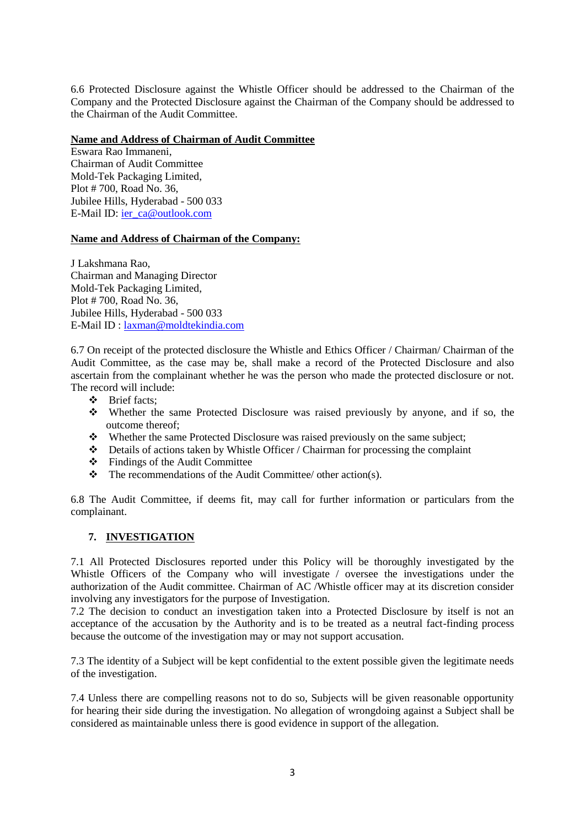6.6 Protected Disclosure against the Whistle Officer should be addressed to the Chairman of the Company and the Protected Disclosure against the Chairman of the Company should be addressed to the Chairman of the Audit Committee.

#### **Name and Address of Chairman of Audit Committee**

Eswara Rao Immaneni, Chairman of Audit Committee Mold-Tek Packaging Limited, Plot # 700, Road No. 36, Jubilee Hills, Hyderabad - 500 033 E-Mail ID: [ier\\_ca@outlook.com](mailto:ier_ca@outlook.com)

# **Name and Address of Chairman of the Company:**

J Lakshmana Rao, Chairman and Managing Director Mold-Tek Packaging Limited, Plot # 700, Road No. 36, Jubilee Hills, Hyderabad - 500 033 E-Mail ID : [laxman@moldtekindia.com](mailto:laxman@moldtekindia.com)

6.7 On receipt of the protected disclosure the Whistle and Ethics Officer / Chairman/ Chairman of the Audit Committee, as the case may be, shall make a record of the Protected Disclosure and also ascertain from the complainant whether he was the person who made the protected disclosure or not. The record will include:

- Brief facts;
- Whether the same Protected Disclosure was raised previously by anyone, and if so, the outcome thereof;
- Whether the same Protected Disclosure was raised previously on the same subject;
- $\bullet$  Details of actions taken by Whistle Officer / Chairman for processing the complaint
- Findings of the Audit Committee
- $\triangle$  The recommendations of the Audit Committee/ other action(s).

6.8 The Audit Committee, if deems fit, may call for further information or particulars from the complainant.

## **7. INVESTIGATION**

7.1 All Protected Disclosures reported under this Policy will be thoroughly investigated by the Whistle Officers of the Company who will investigate / oversee the investigations under the authorization of the Audit committee. Chairman of AC /Whistle officer may at its discretion consider involving any investigators for the purpose of Investigation.

7.2 The decision to conduct an investigation taken into a Protected Disclosure by itself is not an acceptance of the accusation by the Authority and is to be treated as a neutral fact-finding process because the outcome of the investigation may or may not support accusation.

7.3 The identity of a Subject will be kept confidential to the extent possible given the legitimate needs of the investigation.

7.4 Unless there are compelling reasons not to do so, Subjects will be given reasonable opportunity for hearing their side during the investigation. No allegation of wrongdoing against a Subject shall be considered as maintainable unless there is good evidence in support of the allegation.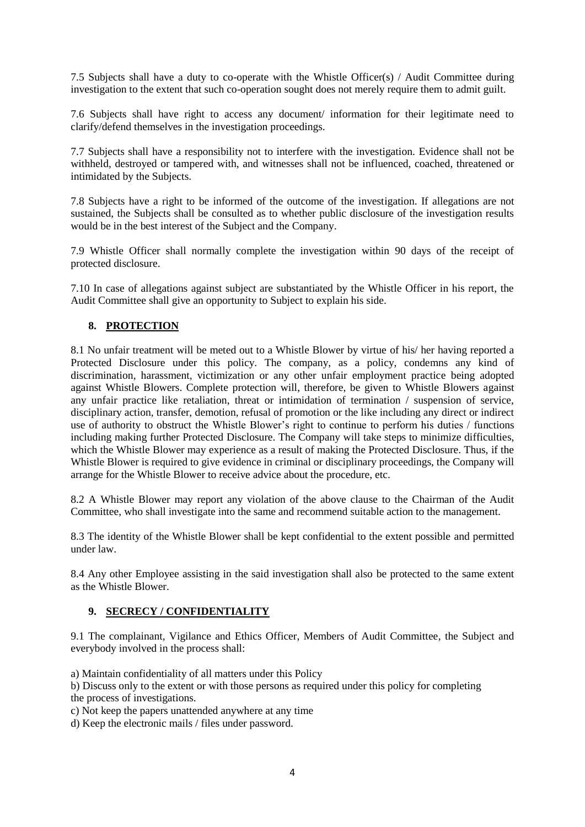7.5 Subjects shall have a duty to co-operate with the Whistle Officer(s) / Audit Committee during investigation to the extent that such co-operation sought does not merely require them to admit guilt.

7.6 Subjects shall have right to access any document/ information for their legitimate need to clarify/defend themselves in the investigation proceedings.

7.7 Subjects shall have a responsibility not to interfere with the investigation. Evidence shall not be withheld, destroyed or tampered with, and witnesses shall not be influenced, coached, threatened or intimidated by the Subjects.

7.8 Subjects have a right to be informed of the outcome of the investigation. If allegations are not sustained, the Subjects shall be consulted as to whether public disclosure of the investigation results would be in the best interest of the Subject and the Company.

7.9 Whistle Officer shall normally complete the investigation within 90 days of the receipt of protected disclosure.

7.10 In case of allegations against subject are substantiated by the Whistle Officer in his report, the Audit Committee shall give an opportunity to Subject to explain his side.

# **8. PROTECTION**

8.1 No unfair treatment will be meted out to a Whistle Blower by virtue of his/ her having reported a Protected Disclosure under this policy. The company, as a policy, condemns any kind of discrimination, harassment, victimization or any other unfair employment practice being adopted against Whistle Blowers. Complete protection will, therefore, be given to Whistle Blowers against any unfair practice like retaliation, threat or intimidation of termination / suspension of service, disciplinary action, transfer, demotion, refusal of promotion or the like including any direct or indirect use of authority to obstruct the Whistle Blower's right to continue to perform his duties / functions including making further Protected Disclosure. The Company will take steps to minimize difficulties, which the Whistle Blower may experience as a result of making the Protected Disclosure. Thus, if the Whistle Blower is required to give evidence in criminal or disciplinary proceedings, the Company will arrange for the Whistle Blower to receive advice about the procedure, etc.

8.2 A Whistle Blower may report any violation of the above clause to the Chairman of the Audit Committee, who shall investigate into the same and recommend suitable action to the management.

8.3 The identity of the Whistle Blower shall be kept confidential to the extent possible and permitted under law.

8.4 Any other Employee assisting in the said investigation shall also be protected to the same extent as the Whistle Blower.

#### **9. SECRECY / CONFIDENTIALITY**

9.1 The complainant, Vigilance and Ethics Officer, Members of Audit Committee, the Subject and everybody involved in the process shall:

a) Maintain confidentiality of all matters under this Policy

b) Discuss only to the extent or with those persons as required under this policy for completing the process of investigations.

c) Not keep the papers unattended anywhere at any time

d) Keep the electronic mails / files under password.